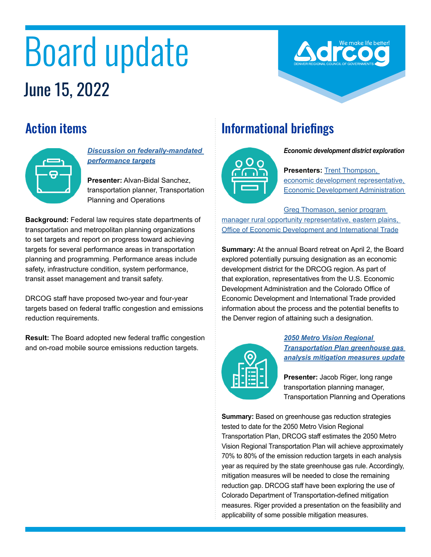# Board update June 15, 2022

### Action items



*[Discussion on federally-mandated](https://drcog.org/sites/default/files/event-materials/June%2015%202022%20BOD%20Agenda.pdf#page=15)  [performance targets](https://drcog.org/sites/default/files/event-materials/June%2015%202022%20BOD%20Agenda.pdf#page=15)*

**Presenter:** Alvan-Bidal Sanchez, transportation planner, Transportation Planning and Operations

**Background:** Federal law requires state departments of transportation and metropolitan planning organizations to set targets and report on progress toward achieving targets for several performance areas in transportation planning and programming. Performance areas include safety, infrastructure condition, system performance, transit asset management and transit safety.

DRCOG staff have proposed two-year and four-year targets based on federal traffic congestion and emissions reduction requirements.

**Result:** The Board adopted new federal traffic congestion and on-road mobile source emissions reduction targets.

## Informational briefings



*Economic development district exploration*

**Presenters: Trent Thompson,** [economic development representative,](https://drcog.org/sites/default/files/event-materials/A1%20-%20Colorado_EDA_DRCOG_EDD_Discussion.pdf)  [Economic Development Administration](https://drcog.org/sites/default/files/event-materials/A1%20-%20Colorado_EDA_DRCOG_EDD_Discussion.pdf) 

[Greg Thomason, senior program](https://drcog.org/sites/default/files/event-materials/A2%20-%20DRCOG%20CEDS%20Presentation.pdf)  [manager rural opportunity representative, eastern plains,](https://drcog.org/sites/default/files/event-materials/A2%20-%20DRCOG%20CEDS%20Presentation.pdf)  [Office of Economic Development and International Trade](https://drcog.org/sites/default/files/event-materials/A2%20-%20DRCOG%20CEDS%20Presentation.pdf)

**Summary:** At the annual Board retreat on April 2, the Board explored potentially pursuing designation as an economic development district for the DRCOG region. As part of that exploration, representatives from the U.S. Economic Development Administration and the Colorado Office of Economic Development and International Trade provided information about the process and the potential benefits to the Denver region of attaining such a designation.



*2050 Metro Vision Regional Transportation Plan [greenhouse gas](https://drcog.org/sites/default/files/event-materials/D1%20-%202050%20GHG%20Update-Mitigation%20Actions.pdf)  [analysis mitigation measures update](https://drcog.org/sites/default/files/event-materials/D1%20-%202050%20GHG%20Update-Mitigation%20Actions.pdf)*

**Presenter:** Jacob Riger, long range transportation planning manager, Transportation Planning and Operations

**Summary:** Based on greenhouse gas reduction strategies tested to date for the 2050 Metro Vision Regional Transportation Plan, DRCOG staff estimates the 2050 Metro Vision Regional Transportation Plan will achieve approximately 70% to 80% of the emission reduction targets in each analysis year as required by the state greenhouse gas rule. Accordingly, mitigation measures will be needed to close the remaining reduction gap. DRCOG staff have been exploring the use of Colorado Department of Transportation-defined mitigation measures. Riger provided a presentation on the feasibility and applicability of some possible mitigation measures.